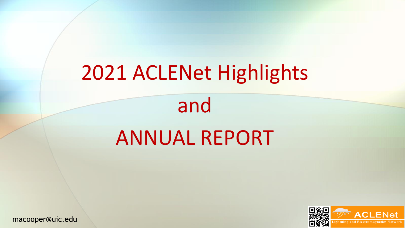# 2021 ACLENet Highlights

and ANNUAL REPORT



macooper@uic.edu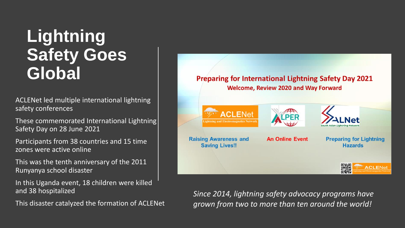## **Lightning Safety Goes Global**

ACLENet led multiple international lightning safety conferences

These commemorated International Lightning Safety Day on 28 June 2021

Participants from 38 countries and 15 time zones were active online

This was the tenth anniversary of the 2011 Runyanya school disaster

In this Uganda event, 18 children were killed and 38 hospitalized

This disaster catalyzed the formation of ACLENet



*Since 2014, lightning safety advocacy programs have grown from two to more than ten around the world!*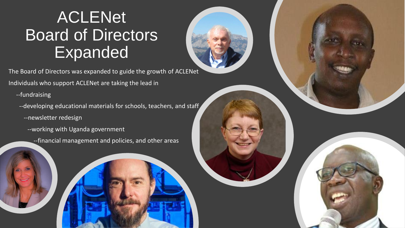### ACLENet Board of Directors Expanded

The Board of Directors was expanded to guide the growth of ACLENet Individuals who support ACLENet are taking the lead in

--fundraising

--developing educational materials for schools, teachers, and staff

--newsletter redesign

--working with Uganda government

--financial management and policies, and other areas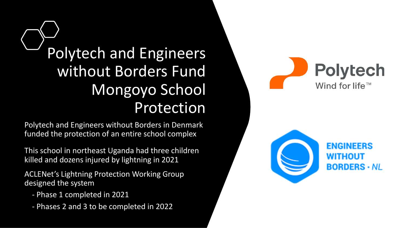Polytech and Engineers without Borders Fund Mongoyo School Protection

Polytech and Engineers without Borders in Denmark funded the protection of an entire school complex

This school in northeast Uganda had three children killed and dozens injured by lightning in 2021

ACLENet's Lightning Protection Working Group designed the system

- Phase 1 completed in 2021
- Phases 2 and 3 to be completed in 2022



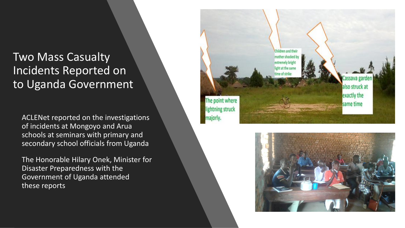#### Two Mass Casualty Incidents Reported on to Uganda Government

ACLENet reported on the investigations of incidents at Mongoyo and Arua schools at seminars with primary and secondary school officials from Uganda

The Honorable Hilary Onek, Minister for Disaster Preparedness with the Government of Uganda attended these reports



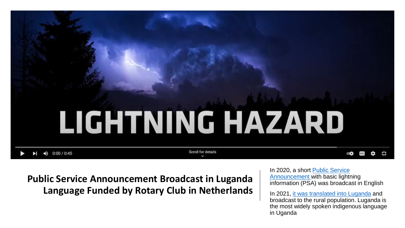

**Public Service Announcement Broadcast in Luganda Language Funded by Rotary Club in Netherlands** In 2020, a short Public Service [Announcement with basic lightn](https://www.youtube.com/watch?v=aj4iifLdI7E)ing information (PSA) was broadcast in English

In 2021, [it was translated into Luganda](https://www.youtube.com/watch?v=v-UfxvG90Ng) and broadcast to the rural population. Luganda is the most widely spoken indigenous language in Uganda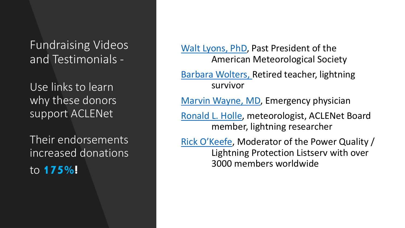Fundraising Videos and Testimonials -

Use links to learn why these donors support ACLENet

Their endorsements increased donations to **175%!**

[Walt Lyons, PhD](https://www.youtube.com/watch?v=4hzERmKIs9A), Past President of the American Meteorological Society

[Barbara Wolters, R](https://www.youtube.com/watch?v=eMMT8t6ugbg)etired teacher, lightning survivor

[Marvin Wayne, MD](https://www.youtube.com/watch?v=NB0UwYfwPE4), Emergency physician

[Ronald L. Holle](https://www.youtube.com/watch?v=UrwKwsSgGAg), meteorologist, ACLENet Board member, lightning researcher

[Rick O'Keefe](https://mailchi.mp/96a80bdf6a63/rick-okeefe-lightning-protection-expert-tells-why-he-supports-aclenet), Moderator of the Power Quality / Lightning Protection Listserv with over 3000 members worldwide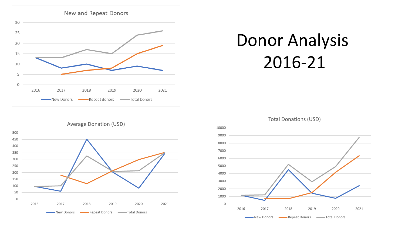

## Donor Analysis 2016-21







New Donors **Common Repeat Donors Common Post Donors**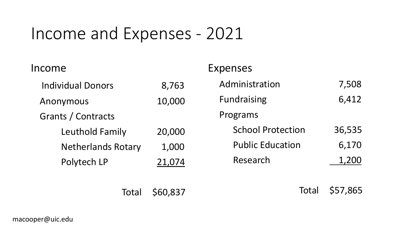### Income and Expenses - 2021

| Income                    |        | <b>Expenses</b>          |        |
|---------------------------|--------|--------------------------|--------|
| <b>Individual Donors</b>  | 8,763  | Administration           | 7,508  |
| Anonymous                 | 10,000 | <b>Fundraising</b>       | 6,412  |
| Grants / Contracts        |        | Programs                 |        |
| Leuthold Family           | 20,000 | <b>School Protection</b> | 36,535 |
| <b>Netherlands Rotary</b> | 1,000  | <b>Public Education</b>  | 6,170  |
| Polytech LP               | 21,074 | Research                 | 1,200  |
|                           |        |                          |        |

Total \$60,837

Total \$57,865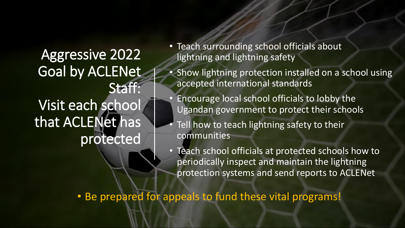Aggressive 2022 Goal by ACLENet Staff: Visit each school that ACLENet has protected

- Teach surrounding school officials about lightning and lightning safety
- Show lightning protection installed on a school using accepted international standards
	- Encourage local school officials to lobby the Ugandan government to protect their schools
- Tell how to teach lightning safety to their communities
- Teach school officials at protected schools how to periodically inspect and maintain the lightning protection systems and send reports to ACLENet

• Be prepared for appeals to fund these vital programs!